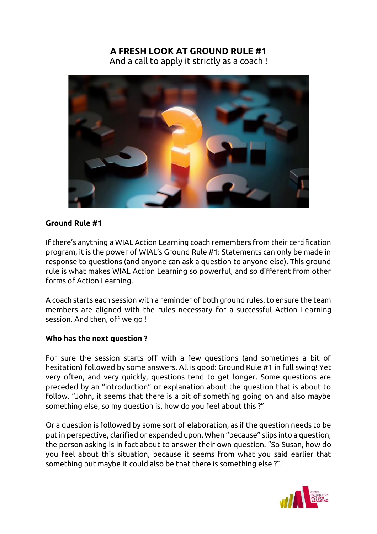# **A FRESH LOOK AT GROUND RULE #1**

And a call to apply it strictly as a coach !



#### **Ground Rule #1**

If there's anything a WIAL Action Learning coach remembers from their certification program, it is the power of WIAL's Ground Rule #1: Statements can only be made in response to questions (and anyone can ask a question to anyone else). This ground rule is what makes WIAL Action Learning so powerful, and so different from other forms of Action Learning.

A coach starts each session with a reminder of both ground rules, to ensure the team members are aligned with the rules necessary for a successful Action Learning session. And then, off we go !

## **Who has the next question ?**

For sure the session starts off with a few questions (and sometimes a bit of hesitation) followed by some answers. All is good: Ground Rule #1 in full swing! Yet very often, and very quickly, questions tend to get longer. Some questions are preceded by an "introduction" or explanation about the question that is about to follow. "John, it seems that there is a bit of something going on and also maybe something else, so my question is, how do you feel about this ?"

Or a question is followed by some sort of elaboration, as if the question needs to be put in perspective, clarified or expanded upon. When "because" slips into a question, the person asking is in fact about to answer their own question. "So Susan, how do you feel about this situation, because it seems from what you said earlier that something but maybe it could also be that there is something else ?".

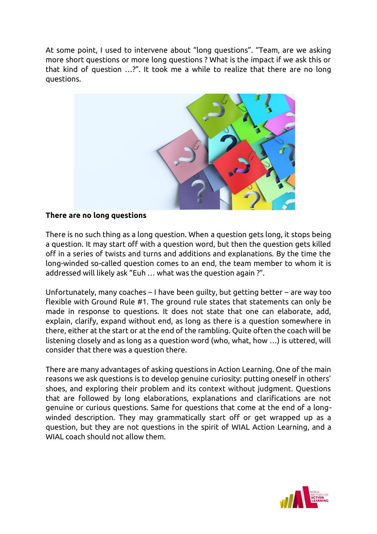At some point, I used to intervene about "long questions". "Team, are we asking more short questions or more long questions ? What is the impact if we ask this or that kind of question …?". It took me a while to realize that there are no long questions.



## **There are no long questions**

There is no such thing as a long question. When a question gets long, it stops being a question. It may start off with a question word, but then the question gets killed off in a series of twists and turns and additions and explanations. By the time the long-winded so-called question comes to an end, the team member to whom it is addressed will likely ask "Euh … what was the question again ?".

Unfortunately, many coaches – I have been guilty, but getting better – are way too flexible with Ground Rule #1. The ground rule states that statements can only be made in response to questions. It does not state that one can elaborate, add, explain, clarify, expand without end, as long as there is a question somewhere in there, either at the start or at the end of the rambling. Quite often the coach will be listening closely and as long as a question word (who, what, how …) is uttered, will consider that there was a question there.

There are many advantages of asking questions in Action Learning. One of the main reasons we ask questions is to develop genuine curiosity: putting oneself in others' shoes, and exploring their problem and its context without judgment. Questions that are followed by long elaborations, explanations and clarifications are not genuine or curious questions. Same for questions that come at the end of a longwinded description. They may grammatically start off or get wrapped up as a question, but they are not questions in the spirit of WIAL Action Learning, and a WIAL coach should not allow them.